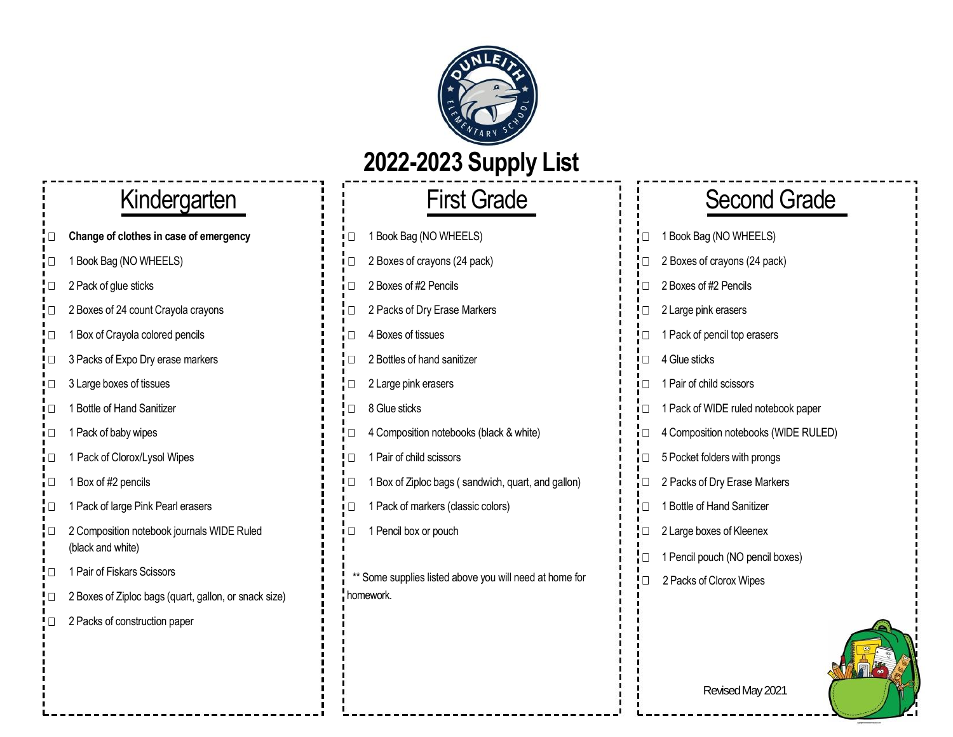

## **2022-2023 Supply List**

- **Change of clothes in case of emergency** ↓ 1 D 1 Book Bag (NO WHEELS)  $\Box$
- $\Box$
- $\Box$
- 2 Boxes of 24 count Crayola crayons 2 Packs of Dry Erase Markers  $\Box$
- 1 Box of Crayola colored pencils 4 Boxes of tissues ! □
- 3 Packs of Expo Dry erase markers 2 Bullet  $\mathbf{P} \Box$  2 Bottles of hand sanitizer  $\Box$
- 3 Large boxes of tissues 2 Large pink erasers  $\mathbf{i}$  Pair of child science pink erasers  $\Box$
- 1 Bottle of Hand Sanitizer 8 Glue sticks 1 Pack of Pack of Pack of Pack of Pack of Pack of Pack of Pack of Pack paper П.
- $\Box$
- 1 Pack of Clorox/Lysol Wipes 1 Pair of child scissors 1 Pocket for Pocket for Pocket for Pocket for  $\vert$  1 Pair of child scissors  $\Box$
- $\Box$
- $\Box$
- 2 Composition notebook journals WIDE Ruled 1 Pencil box or pouch  $\Box$ (black and white)
- 1 Pair of Fiskars Scissors  $\Box$
- 2 Boxes of Ziploc bags (quart, gallon, or snack size)  $\Box$
- 2 Packs of construction paper П.
- 
- 
- 1 Book Bag (NO WHEELS) 2 Boxes of crayons (24 pack) 2 Boxes of crayons (24 pack)
- 2 Pack of glue sticks 2 **Pack of glue sticks** 2 Boxes of #2 Pencils
	-
	-
	-
	-
	-
- 1 Pack of baby wipes 4 Composition notebooks (black & white) 4 Composition notebooks (black & white)
	-
- 1 Box of #2 pencils 1 Box of Ziploc bags ( sandwich, quart, and gallon)
- 1 Pack of large Pink Pearl erasers 1 Pack of markers (classic colors)
	-
	- \*\* Some supplies listed above you will need at home for homework.

# Kindergarten i i First Grade i Second Grade

|   | 1 Book Bag (NO WHEELS)               |
|---|--------------------------------------|
| Π | 2 Boxes of crayons (24 pack)         |
| П | 2 Boxes of #2 Pencils                |
| П | 2 Large pink erasers                 |
| П | 1 Pack of pencil top erasers         |
| П | 4 Glue sticks                        |
| П | 1 Pair of child scissors             |
| П | 1 Pack of WIDE ruled notebook paper  |
| П | 4 Composition notebooks (WIDE RULED) |
| П | 5 Pocket folders with prongs         |
| П | 2 Packs of Dry Erase Markers         |
| П | 1 Bottle of Hand Sanitizer           |
| П | 2 Large boxes of Kleenex             |
| П | 1 Pencil pouch (NO pencil boxes)     |
|   | 2 Packs of Clorox Wipes              |



Revised May 2021

! □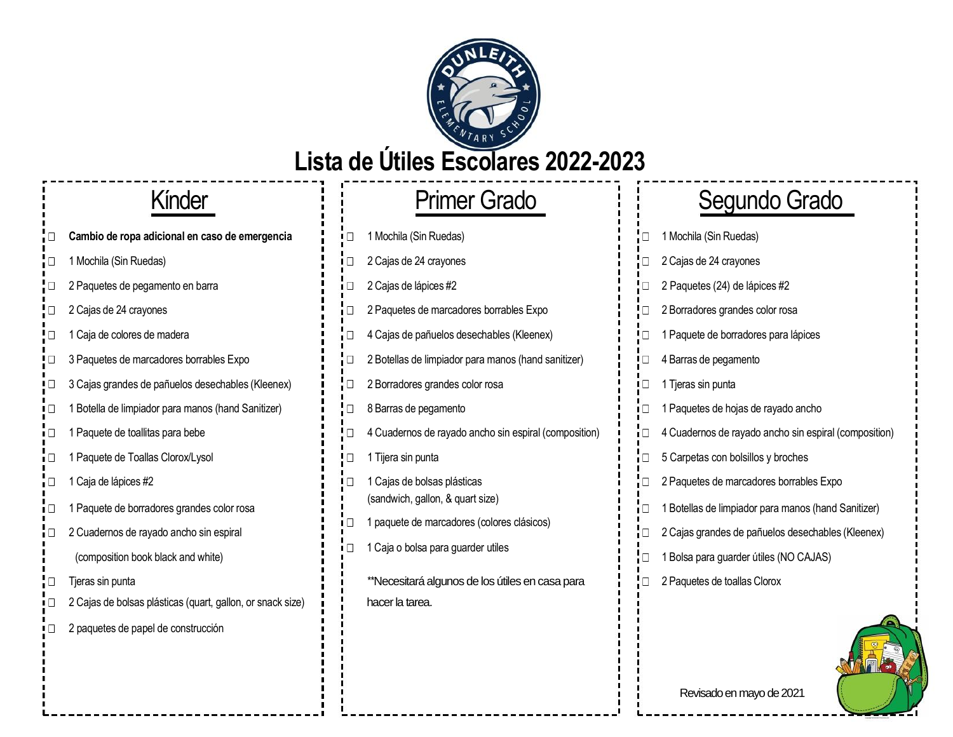

### **Lista de Útiles Escolares 2022-2023**

- **Cambio de ropa adicional en caso de emergencia** <sup>1</sup> <sup>1</sup> □ 1 Mochila (Sin Ruedas)  $\Box$
- $\Box$
- 2 Paquetes de pegamento en barra 2 Cajas de lápices #2 2 Paquetes (24) de lápices #2 П.
- 
- ! O
- $\Box$
- 3 Cajas grandes de pañuelos desechables (Kleenex)  $\mathbf{i}$   $\mathbf{l}$  2 Borradores grandes color rosa  $\Box$
- 1 Botella de limpiador para manos (hand Sanitizer)  $\Box$  8 Barras de pegamento  $\Box$
- $\Box$
- 1 Paquete de Toallas Clorox/Lysol 1 Tijera sin punta  $\Box$
- $\Box$
- 1 Paquete de borradores grandes color rosa iО
- 2 Cuadernos de rayado ancho sin espiral  $\Box$ 
	- (composition book black and white)
- $\Box$
- 2 Cajas de bolsas plásticas (quart, gallon, or snack size)  $\mathbf{i}$  | hacer la tarea.
- 2 paquetes de papel de construcción

# 1 Mochila (Sin Ruedas) 2 Cajas de 24 crayones 2 Cajas de 24 crayones 2 Paquetes de marcadores borrables Expo 1 Caja de colores de madera 4 Cajas de pañuelos desechables (Kleenex) 3 Paquetes de marcadores borrables Expo 2 Botellas de limpiador para manos (hand sanitizer) 1 Paquete de toallitas para bebe  $\mathbf{A} = \mathbf{A} \cup \mathbf{A}$  4 Cuadernos de rayado ancho sin espiral (composition) 1 Caja de lápices #2 **1 Paguetes en el paquetes de marcadores en el pa**quetes de marcadores en el paquetes en el paquetes en el paquetes en el paquetes en el paquetes en el paquetes en el paquetes de marcadores en el paqu (sandwich, gallon, & quart size) 1 paquete de marcadores (colores clásicos)  $\Box$ 1 Caja o bolsa para guarder utiles Tieras sin punta termina termina algunos de los útiles en casa para 2 Paquetes de toallas Clorox en casa para

# Kínder : Primer Grado : Segundo Grado

| $\Box$ | 1 Mochila (Sin Ruedas)                                |
|--------|-------------------------------------------------------|
| $\Box$ | 2 Cajas de 24 crayones                                |
| $\Box$ | 2 Paquetes (24) de lápices #2                         |
| □      | 2 Borradores grandes color rosa                       |
| □      | 1 Paquete de borradores para lápices                  |
| □      | 4 Barras de pegamento                                 |
| П      | 1 Tjeras sin punta                                    |
| П      | 1 Paquetes de hojas de rayado ancho                   |
| $\Box$ | 4 Cuadernos de rayado ancho sin espiral (composition) |
| Π      | 5 Carpetas con bolsillos y broches                    |
| О      | 2 Paquetes de marcadores borrables Expo               |
| □      | 1 Botellas de limpiador para manos (hand Sanitizer)   |
| $\Box$ | 2 Cajas grandes de pañuelos desechables (Kleenex)     |
| $\Box$ | 1 Bolsa para guarder útiles (NO CAJAS)                |
| □      | 2 Paquetes de toallas Clorox                          |
|        |                                                       |

Revisado en mayo de 2021

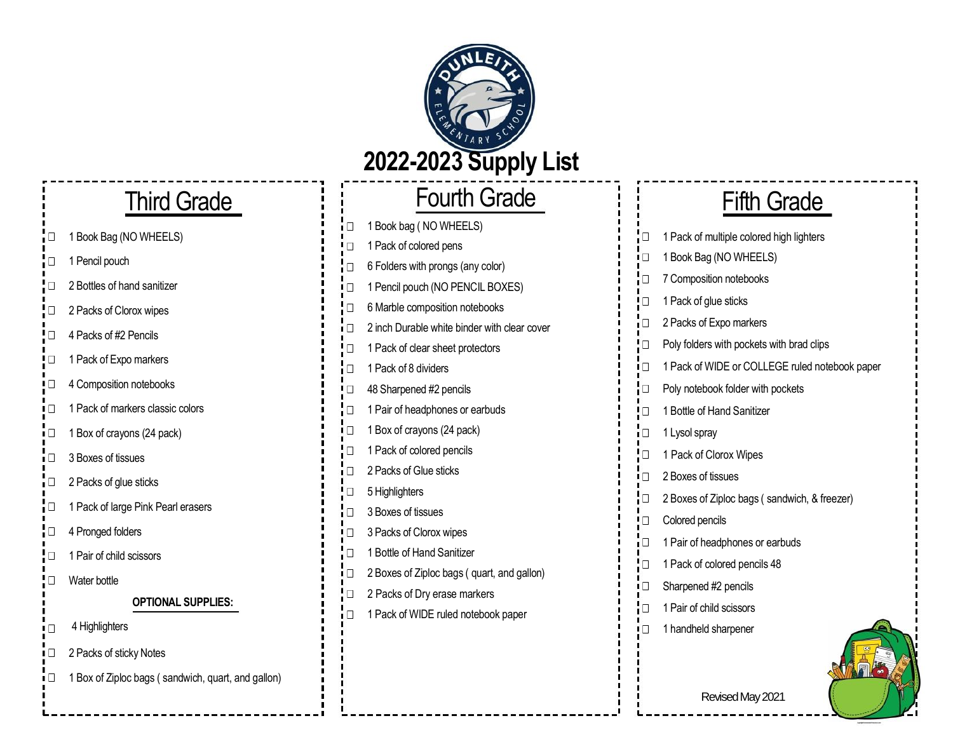

i⊡

╹□

 $\Box$ 

 $\Box$  $\Box$ 

 $\Box$ 

 $\Box$ 

 $\Box$ 

 $\Box$ 

ŀП iП

! □

 $\Box$ 

 $\Box$ 

 $\Box$ 

 $\Box$  $\Box$ 

 $\Box$ 

 $\Box$  $\Box$ 

# Third Grade

- 1 Book Bag (NO WHEELS)  $\Box$
- $\Box$ 1 Pencil pouch
- 2 Bottles of hand sanitizer  $\Box$
- 2 Packs of Clorox wipes  $\Box$
- 4 Packs of #2 Pencils !□
- 1 Pack of Expo markers ם!
- 4 Composition notebooks  $\blacksquare$
- 1 Pack of markers classic colors  $\Box$
- 1 Box of crayons (24 pack)  $\Box$
- 3 Boxes of tissues  $\Box$
- $\Box$ 2 Packs of glue sticks
- $\Box$ 1 Pack of large Pink Pearl erasers
- $\Box$ 4 Pronged folders
- $\Box$ 1 Pair of child scissors
- $\Box$ Water bottle

### **OPTIONAL SUPPLIES:**

- 4 Highlighters  $\Box$
- 2 Packs of sticky Notes  $\Box$
- 1 Box of Ziploc bags ( sandwich, quart, and gallon)  $\Box$

| <b>Fourth Grade</b>                          | <b>Fifth Grade</b>                                     |
|----------------------------------------------|--------------------------------------------------------|
| 1 Book bag (NO WHEELS)                       |                                                        |
| 1 Pack of colored pens                       | $\Box$<br>1 Pack of multiple colored high lighters     |
| 6 Folders with prongs (any color)            | 1 Book Bag (NO WHEELS)<br>$\mathsf{I} \square$         |
| 1 Pencil pouch (NO PENCIL BOXES)             | 7 Composition notebooks<br>$\Box$                      |
| 6 Marble composition notebooks               | 1 Pack of glue sticks<br>! □                           |
| 2 inch Durable white binder with clear cover | 2 Packs of Expo markers<br>īП                          |
| 1 Pack of clear sheet protectors             | ! □<br>Poly folders with pockets with brad clips       |
| 1 Pack of 8 dividers                         | ╹□<br>1 Pack of WIDE or COLLEGE ruled notebook paper   |
| 48 Sharpened #2 pencils                      | Poly notebook folder with pockets<br>iО                |
| 1 Pair of headphones or earbuds              | ! □<br>1 Bottle of Hand Sanitizer                      |
| 1 Box of crayons (24 pack)                   | i□<br>1 Lysol spray                                    |
| 1 Pack of colored pencils                    | ! □<br>1 Pack of Clorox Wipes                          |
| 2 Packs of Glue sticks                       | 2 Boxes of tissues<br>$\mathsf{I} \square$             |
| 5 Highlighters                               | $\Box$<br>2 Boxes of Ziploc bags (sandwich, & freezer) |
| 3 Boxes of tissues                           | Colored pencils<br>! □                                 |
| 3 Packs of Clorox wipes                      | 1 Pair of headphones or earbuds<br>īО                  |
| 1 Bottle of Hand Sanitizer                   | $\Box$                                                 |
| 2 Boxes of Ziploc bags (quart, and gallon)   | 1 Pack of colored pencils 48                           |
| 2 Packs of Dry erase markers                 | Sharpened #2 pencils<br>╹□                             |
| 1 Pack of WIDE ruled notebook paper          | 1 Pair of child scissors<br>$\Box$                     |
|                                              | 1 handheld sharpener<br>╹□                             |

Revised May 2021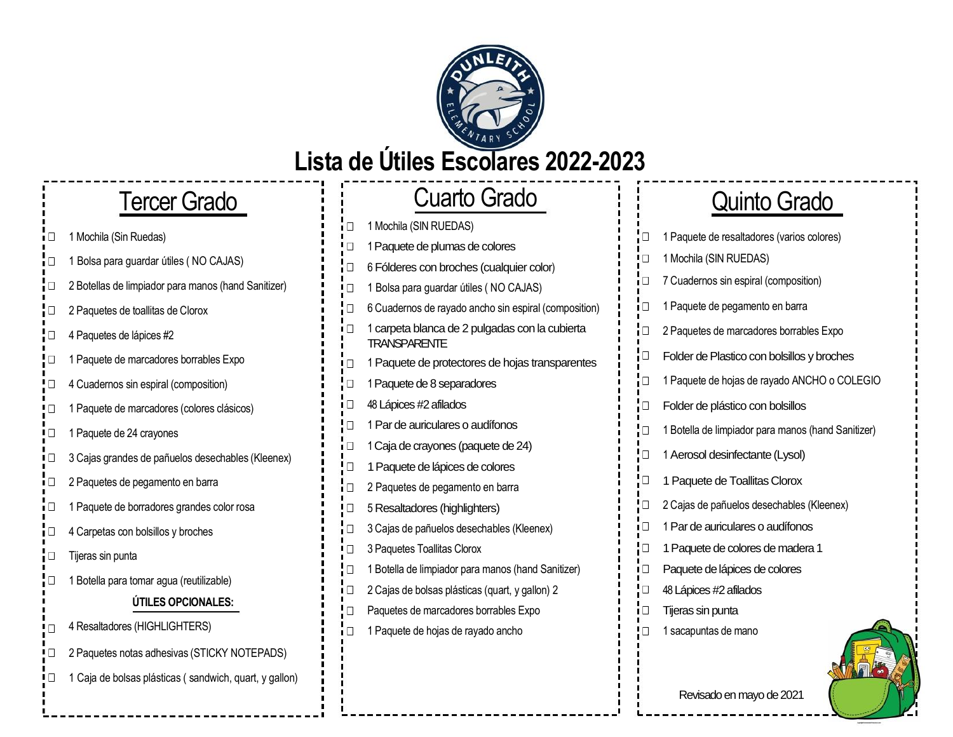

### **Lista de Útiles Escolares 2022-2023**

# Tercer Grado

- 1 Mochila (Sin Ruedas)
- 1 Bolsa para guardar útiles ( NO CAJAS)
- 2 Botellas de limpiador para manos (hand Sanitizer) П
- 2 Paquetes de toallitas de Clorox
- 4 Paquetes de lápices #2  $\Box$
- 1 Paquete de marcadores borrables Expo
- 4 Cuadernos sin espiral (composition)  $\Box$
- 1 Paquete de marcadores (colores clásicos)  $\Box$
- 1 Paquete de 24 crayones □
- 3 Cajas grandes de pañuelos desechables (Kleenex)  $\Box$
- 2 Paquetes de pegamento en barra  $\Box$
- 1 Paquete de borradores grandes color rosa
- 4 Carpetas con bolsillos y broches П
- Tijeras sin punta  $\Box$
- $\Box$ 1 Botella para tomar agua (reutilizable)

### **ÚTILES OPCIONALES:**

- 4 Resaltadores (HIGHLIGHTERS) П
- 2 Paquetes notas adhesivas (STICKY NOTEPADS) □
- 1 Caja de bolsas plásticas ( sandwich, quart, y gallon)  $\Box$

### 1 Mochila (SIN RUEDAS)  $\Box$ 1Paquete de plumas de colores 6 Fólderes con broches (cualquier color)  $\Box$ 1 Bolsa para guardar útiles ( NO CAJAS)  $\Box$ 6 Cuadernos de rayado ancho sin espiral (composition) 1 carpeta blanca de 2 pulgadas con la cubierta  $\Box$ **TRANSPARENTE** 1 Paquete de protectores de hojas transparentes 1Paquete de 8 separadores □ 48Lápices #2 afilados  $\Box$ 1 Par de auriculares o audífonos 1Caja de crayones (paquete de 24) 1 Paquete de lápices de colores  $\Box$ 2 Paquetes de pegamento en barra 5 Resaltadores (highlighters)  $\Box$ 3 Cajas de pañuelos desechables (Kleenex)  $\Box$  $\Box$ 3 Paquetes Toallitas Clorox 1 Botella de limpiador para manos (hand Sanitizer) 2 Cajas de bolsas plásticas (quart, y gallon) 2 О Paquetes de marcadores borrables Expo 1 Paquete de hojas de rayado ancho

# Cuarto Grado il Quinto Grado

| П | 1 Paquete de resaltadores (varios colores)         |
|---|----------------------------------------------------|
| П | 1 Mochila (SIN RUEDAS)                             |
| □ | 7 Cuadernos sin espiral (composition)              |
| □ | 1 Paquete de pegamento en barra                    |
| □ | 2 Paquetes de marcadores borrables Expo            |
| □ | Folder de Plastico con bolsillos y broches         |
| □ | 1 Paquete de hojas de rayado ANCHO o COLEGIO       |
| □ | Folder de plástico con bolsillos                   |
| □ | 1 Botella de limpiador para manos (hand Sanitizer) |
| □ | 1 Aerosol desinfectante (Lysol)                    |
| □ | 1 Paquete de Toallitas Clorox                      |
| П | 2 Cajas de pañuelos desechables (Kleenex)          |
| П | 1 Par de auriculares o audífonos                   |
| □ | 1 Paquete de colores de madera 1                   |
| П | Paquete de lápices de colores                      |
| □ | 48 Lápices #2 afilados                             |
| □ | Tijeras sin punta                                  |
| □ | 1 sacapuntas de mano                               |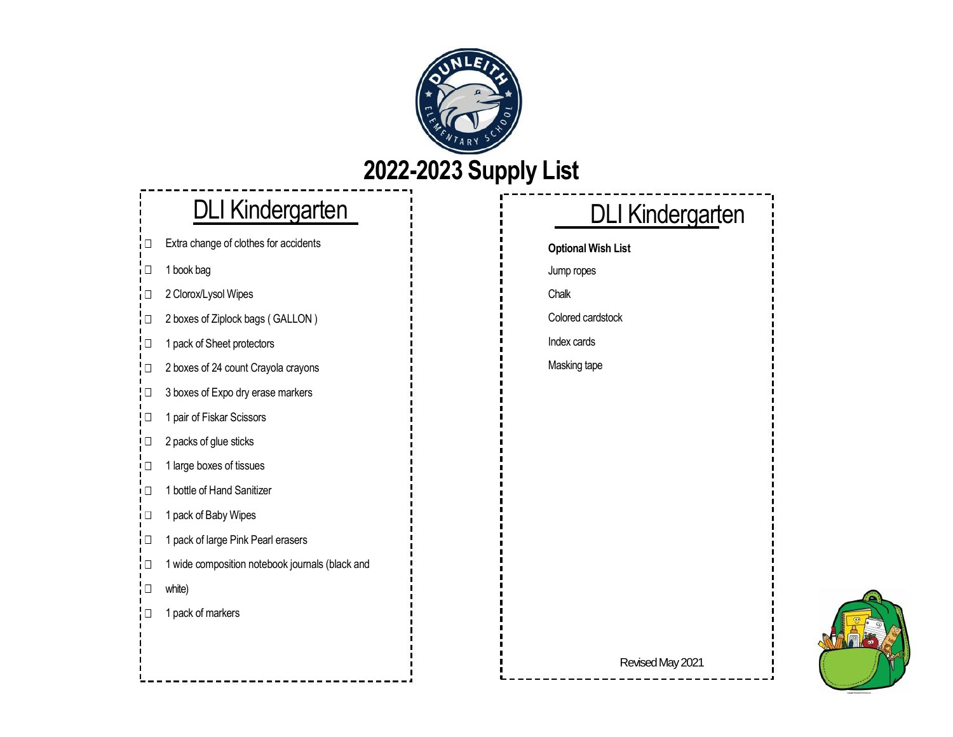

## **2022-2023 Supply List**

### DLI Kindergarten

Extra change of clothes for accidents iП

1 book bag  $\Box$ 

2 Clorox/Lysol Wipes i□

2 boxes of Ziplock bags ( GALLON )  $\Box$ 

1 pack of Sheet protectors ŀО

2 boxes of 24 count Crayola crayons !□

! □ 3 boxes of Expo dry erase markers

1 pair of Fiskar Scissors ! □

IП 2 packs of glue sticks

1 large boxes of tissues ÌП

1 bottle of Hand Sanitizer i⊡

1 pack of Baby Wipes iО

1 pack of large Pink Pearl erasers i⊡ 1 wide composition notebook journals (black and iО white)  $\Box$ 

 $\Box$ 1 pack of markers

## DLI Kindergarten

**Optional Wish List** 

Chalk

Colored cardstock

Index cards

Jump ropes

Masking tape

Revised May 2021

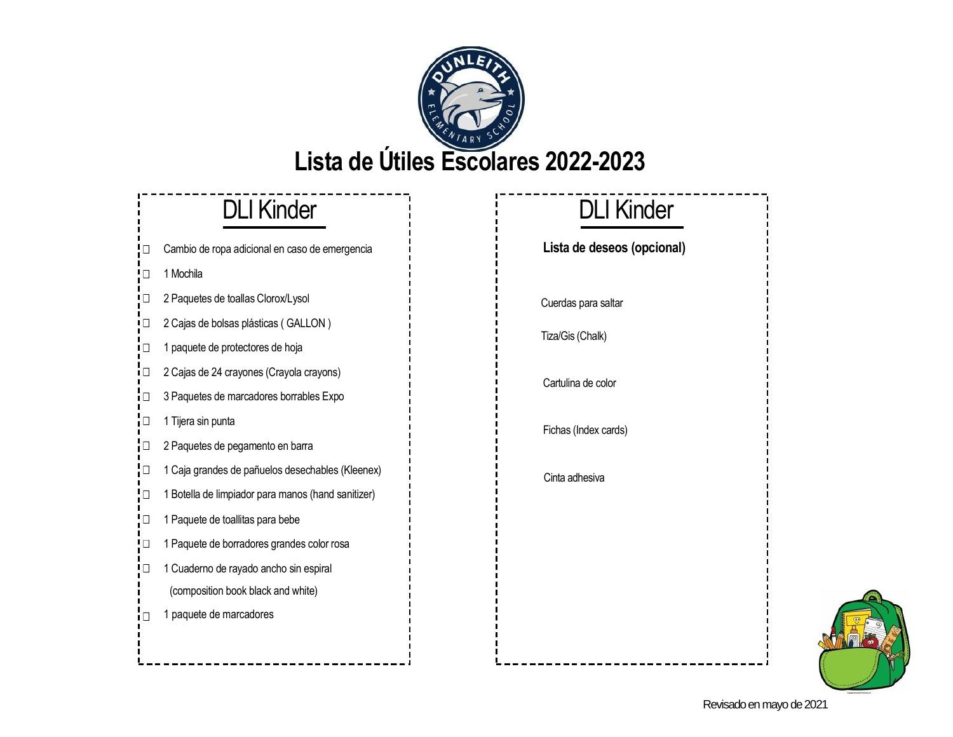

- Cambio de ropa adicional en caso de emergencia Ω.
- חי 1 Mochila

iП.

- 2 Paquetes de toallas Clorox/Lysol  $\Box$
- 2 Cajas de bolsas plásticas ( GALLON ) L D
- 1 paquete de protectores de hoja  $\Box$
- 2 Cajas de 24 crayones (Crayola crayons)
- 3 Paquetes de marcadores borrables Expo
- 1 Tijera sin punta  $\Box$
- 2 Paquetes de pegamento en barra  $\Box$
- 1 Caja grandes de pañuelos desechables (Kleenex)  $\Box$
- 1 Botella de limpiador para manos (hand sanitizer)  $\Box$
- 1 Paquete de toallitas para bebe  $\Box$ 1 Paquete de borradores grandes color rosa  $\Box$
- 1 Cuaderno de rayado ancho sin espiral !□
	- (composition book black and white)
- 1 paquete de marcadores ÌП.

# DLI Kinder **DLI Kinder**

### **Lista de deseos (opcional)**

Cuerdas para saltar

Tiza/Gis (Chalk)

Cartulina de color

Fichas (Index cards)

Cinta adhesiva